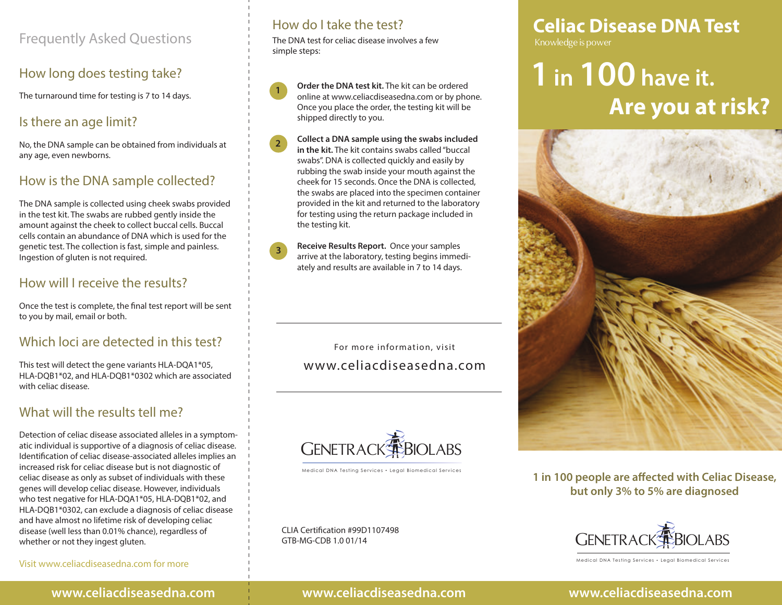## Frequently Asked Questions

#### How long does testing take?

The turnaround time for testing is 7 to 14 days.

#### Is there an age limit?

No, the DNA sample can be obtained from individuals at any age, even newborns.

#### How is the DNA sample collected?

The DNA sample is collected using cheek swabs provided in the test kit. The swabs are rubbed gently inside the amount against the cheek to collect buccal cells. Buccal cells contain an abundance of DNA which is used for the genetic test. The collection is fast, simple and painless. Ingestion of gluten is not required.

#### How will I receive the results?

Once the test is complete, the final test report will be sent to you by mail, email or both.

#### Which loci are detected in this test?

This test will detect the gene variants HLA-DQA1\*05, HLA-DQB1\*02, and HLA-DQB1\*0302 which are associated with celiac disease.

## What will the results tell me?

Detection of celiac disease associated alleles in a symptomatic individual is supportive of a diagnosis of celiac disease. Identification of celiac disease-associated alleles implies an increased risk for celiac disease but is not diagnostic of celiac disease as only as subset of individuals with these genes will develop celiac disease. However, individuals who test negative for HLA-DQA1\*05, HLA-DQB1\*02, and HLA-DQB1\*0302, can exclude a diagnosis of celiac disease and have almost no lifetime risk of developing celiac disease (well less than 0.01% chance), regardless of whether or not they ingest gluten.

#### Visit www.celiacdiseasedna.com for more

How do I take the test?

**1**

**2**

**3**

The DNA test for celiac disease involves a few simple steps:

**Order the DNA test kit.** The kit can be ordered online at www.celiacdiseasedna.com or by phone. Once you place the order, the testing kit will be shipped directly to you.

**Collect a DNA sample using the swabs included in the kit.** The kit contains swabs called "buccal swabs". DNA is collected quickly and easily by rubbing the swab inside your mouth against the cheek for 15 seconds. Once the DNA is collected, the swabs are placed into the specimen container provided in the kit and returned to the laboratory for testing using the return package included in the testing kit.

**Receive Results Report.** Once your samples arrive at the laboratory, testing begins immediately and results are available in 7 to 14 days.

For more information, visit www.celiacdiseasedna.com



Medical DNA Testing Services • Legal Biomedical Services

CLIA Certification #99D1107498 GTB-MG-CDB 1.0 01/14

## **Celiac Disease DNA Test**

# **1 in 100 have it. Are you at risk?**



1 in 100 people are affected with Celiac Disease, **but only 3% to 5% are diagnosed** 



Medical DNA Testing Services Legal Biomedical Services

#### **www.celiacdiseasedna.com www.celiacdiseasedna.com**

#### **www.celiacdiseasedna.com**